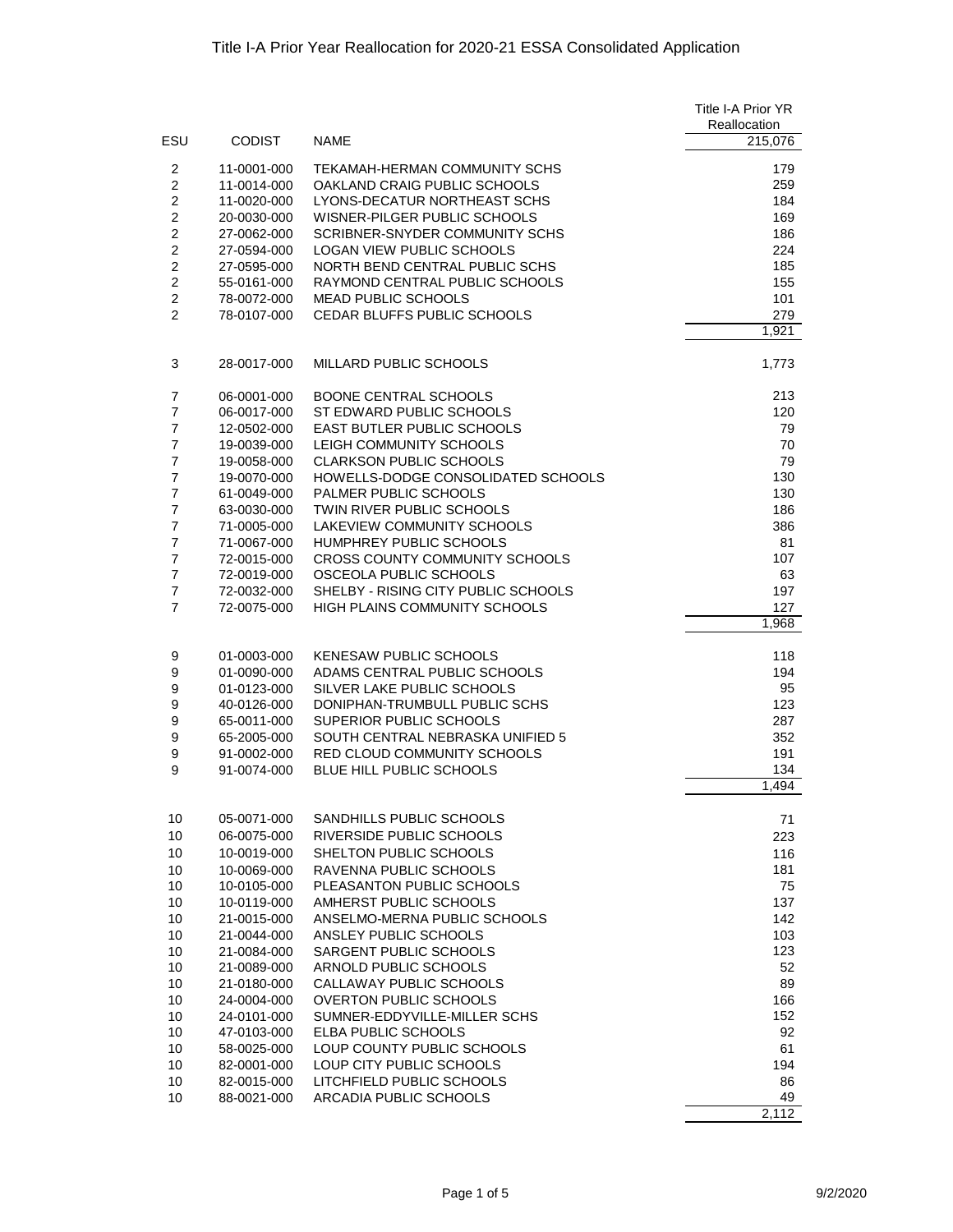|                                  |                            |                                                               | Title I-A Prior YR      |
|----------------------------------|----------------------------|---------------------------------------------------------------|-------------------------|
| ESU                              | <b>CODIST</b>              | <b>NAME</b>                                                   | Reallocation<br>215,076 |
|                                  |                            |                                                               |                         |
| $\overline{2}$<br>$\overline{c}$ | 11-0001-000<br>11-0014-000 | TEKAMAH-HERMAN COMMUNITY SCHS<br>OAKLAND CRAIG PUBLIC SCHOOLS | 179<br>259              |
| $\overline{2}$                   | 11-0020-000                | LYONS-DECATUR NORTHEAST SCHS                                  | 184                     |
| $\overline{2}$                   | 20-0030-000                | WISNER-PILGER PUBLIC SCHOOLS                                  | 169                     |
| $\overline{2}$                   | 27-0062-000                | SCRIBNER-SNYDER COMMUNITY SCHS                                | 186                     |
| $\overline{c}$                   | 27-0594-000                | LOGAN VIEW PUBLIC SCHOOLS                                     | 224                     |
| $\overline{2}$                   | 27-0595-000                | NORTH BEND CENTRAL PUBLIC SCHS                                | 185                     |
| $\overline{2}$<br>$\overline{2}$ | 55-0161-000<br>78-0072-000 | RAYMOND CENTRAL PUBLIC SCHOOLS<br><b>MEAD PUBLIC SCHOOLS</b>  | 155<br>101              |
| $\overline{2}$                   | 78-0107-000                | CEDAR BLUFFS PUBLIC SCHOOLS                                   | 279                     |
|                                  |                            |                                                               | 1,921                   |
| 3                                | 28-0017-000                | MILLARD PUBLIC SCHOOLS                                        | 1,773                   |
| $\overline{7}$                   | 06-0001-000                | BOONE CENTRAL SCHOOLS                                         | 213                     |
| $\overline{7}$                   | 06-0017-000                | ST EDWARD PUBLIC SCHOOLS                                      | 120                     |
| $\overline{7}$                   | 12-0502-000                | <b>EAST BUTLER PUBLIC SCHOOLS</b>                             | 79                      |
| $\overline{7}$                   | 19-0039-000                | LEIGH COMMUNITY SCHOOLS                                       | 70                      |
| $\overline{7}$                   | 19-0058-000                | <b>CLARKSON PUBLIC SCHOOLS</b>                                | 79                      |
| $\overline{7}$                   | 19-0070-000                | HOWELLS-DODGE CONSOLIDATED SCHOOLS                            | 130                     |
| $\overline{7}$<br>$\overline{7}$ | 61-0049-000                | PALMER PUBLIC SCHOOLS<br>TWIN RIVER PUBLIC SCHOOLS            | 130                     |
| $\overline{7}$                   | 63-0030-000<br>71-0005-000 | <b>LAKEVIEW COMMUNITY SCHOOLS</b>                             | 186<br>386              |
| $\overline{7}$                   | 71-0067-000                | HUMPHREY PUBLIC SCHOOLS                                       | 81                      |
| $\overline{7}$                   | 72-0015-000                | CROSS COUNTY COMMUNITY SCHOOLS                                | 107                     |
| $\overline{7}$                   | 72-0019-000                | OSCEOLA PUBLIC SCHOOLS                                        | 63                      |
| $\overline{7}$                   | 72-0032-000                | SHELBY - RISING CITY PUBLIC SCHOOLS                           | 197                     |
| $\overline{7}$                   | 72-0075-000                | HIGH PLAINS COMMUNITY SCHOOLS                                 | 127                     |
|                                  |                            |                                                               | 1,968                   |
| 9                                | 01-0003-000                | KENESAW PUBLIC SCHOOLS                                        | 118                     |
| 9                                | 01-0090-000                | ADAMS CENTRAL PUBLIC SCHOOLS                                  | 194                     |
| 9                                | 01-0123-000                | SILVER LAKE PUBLIC SCHOOLS                                    | 95                      |
| 9                                | 40-0126-000                | DONIPHAN-TRUMBULL PUBLIC SCHS                                 | 123                     |
| 9<br>9                           | 65-0011-000<br>65-2005-000 | SUPERIOR PUBLIC SCHOOLS<br>SOUTH CENTRAL NEBRASKA UNIFIED 5   | 287<br>352              |
| 9                                | 91-0002-000                | RED CLOUD COMMUNITY SCHOOLS                                   | 191                     |
| 9                                | 91-0074-000                | BLUE HILL PUBLIC SCHOOLS                                      | 134                     |
|                                  |                            |                                                               | 1,494                   |
| 10                               | 05-0071-000                | SANDHILLS PUBLIC SCHOOLS                                      | 71                      |
| 10                               | 06-0075-000                | RIVERSIDE PUBLIC SCHOOLS                                      | 223                     |
| 10                               | 10-0019-000                | SHELTON PUBLIC SCHOOLS                                        | 116                     |
| 10                               | 10-0069-000                | RAVENNA PUBLIC SCHOOLS                                        | 181                     |
| 10                               | 10-0105-000                | PLEASANTON PUBLIC SCHOOLS                                     | 75                      |
| 10                               | 10-0119-000                | AMHERST PUBLIC SCHOOLS                                        | 137                     |
| 10<br>10                         | 21-0015-000<br>21-0044-000 | ANSELMO-MERNA PUBLIC SCHOOLS<br>ANSLEY PUBLIC SCHOOLS         | 142<br>103              |
| 10                               | 21-0084-000                | SARGENT PUBLIC SCHOOLS                                        | 123                     |
| 10                               | 21-0089-000                | ARNOLD PUBLIC SCHOOLS                                         | 52                      |
| 10                               | 21-0180-000                | CALLAWAY PUBLIC SCHOOLS                                       | 89                      |
| 10                               | 24-0004-000                | <b>OVERTON PUBLIC SCHOOLS</b>                                 | 166                     |
| 10                               | 24-0101-000                | SUMNER-EDDYVILLE-MILLER SCHS                                  | 152                     |
| 10                               | 47-0103-000                | ELBA PUBLIC SCHOOLS                                           | 92                      |
| 10                               | 58-0025-000                | LOUP COUNTY PUBLIC SCHOOLS                                    | 61                      |
| 10<br>10                         | 82-0001-000<br>82-0015-000 | LOUP CITY PUBLIC SCHOOLS<br>LITCHFIELD PUBLIC SCHOOLS         | 194<br>86               |
| 10                               | 88-0021-000                | ARCADIA PUBLIC SCHOOLS                                        | 49                      |
|                                  |                            |                                                               | 2,112                   |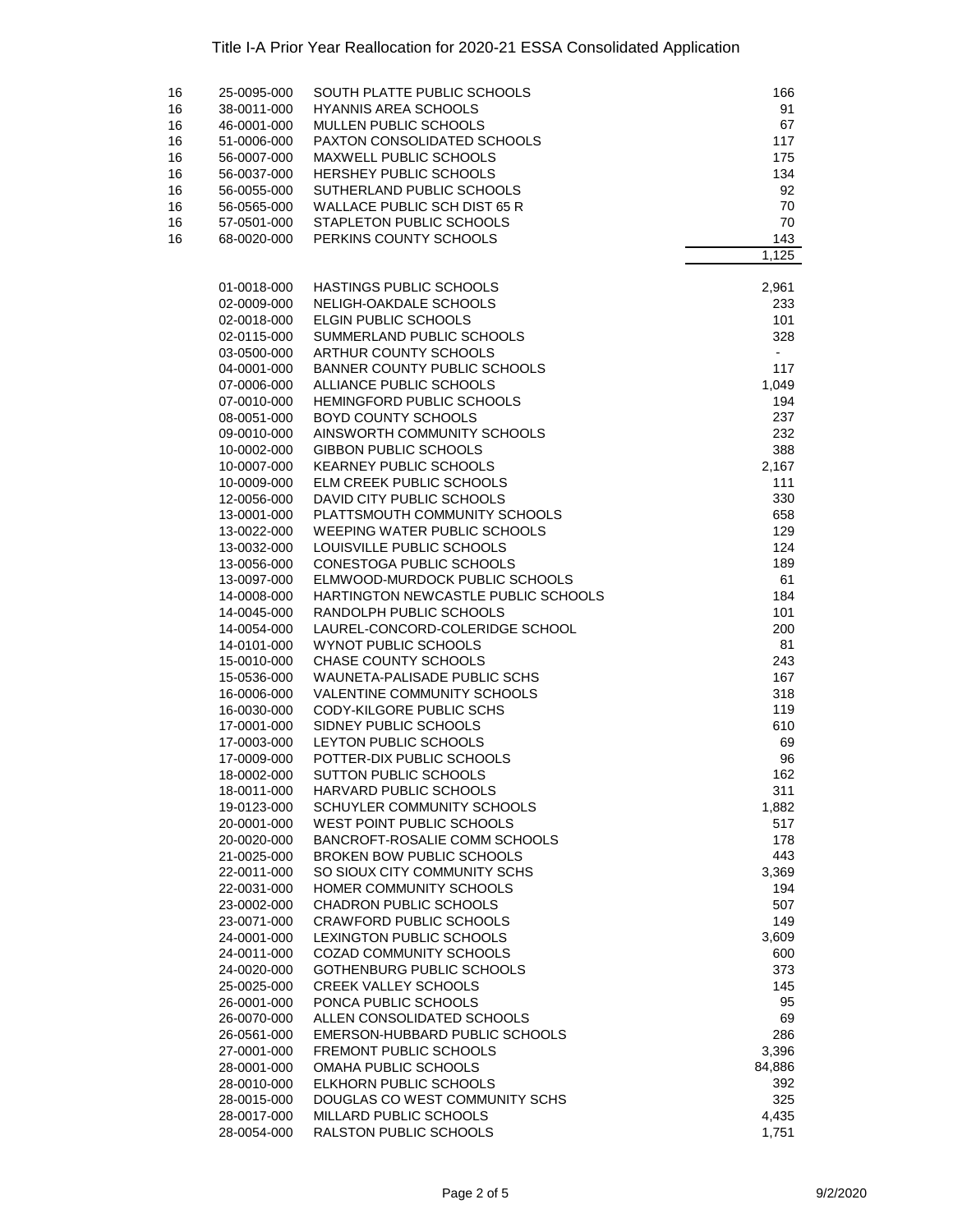| 16 | 25-0095-000                | SOUTH PLATTE PUBLIC SCHOOLS                                       | 166            |
|----|----------------------------|-------------------------------------------------------------------|----------------|
| 16 | 38-0011-000                | <b>HYANNIS AREA SCHOOLS</b>                                       | 91             |
| 16 | 46-0001-000                | MULLEN PUBLIC SCHOOLS                                             | 67             |
| 16 | 51-0006-000                | PAXTON CONSOLIDATED SCHOOLS                                       | 117            |
| 16 | 56-0007-000                | MAXWELL PUBLIC SCHOOLS                                            | 175            |
| 16 | 56-0037-000                | <b>HERSHEY PUBLIC SCHOOLS</b>                                     | 134            |
| 16 | 56-0055-000                | SUTHERLAND PUBLIC SCHOOLS                                         | 92             |
| 16 | 56-0565-000                | WALLACE PUBLIC SCH DIST 65 R                                      | 70             |
| 16 | 57-0501-000                | STAPLETON PUBLIC SCHOOLS                                          | 70             |
| 16 | 68-0020-000                | PERKINS COUNTY SCHOOLS                                            | 143            |
|    |                            |                                                                   | 1,125          |
|    | 01-0018-000                | HASTINGS PUBLIC SCHOOLS                                           | 2,961          |
|    | 02-0009-000                | NELIGH-OAKDALE SCHOOLS                                            | 233            |
|    | 02-0018-000                | ELGIN PUBLIC SCHOOLS                                              | 101            |
|    | 02-0115-000                | SUMMERLAND PUBLIC SCHOOLS                                         | 328            |
|    | 03-0500-000                | ARTHUR COUNTY SCHOOLS                                             | $\blacksquare$ |
|    | 04-0001-000                | BANNER COUNTY PUBLIC SCHOOLS                                      | 117            |
|    | 07-0006-000                | ALLIANCE PUBLIC SCHOOLS                                           | 1,049          |
|    | 07-0010-000                | HEMINGFORD PUBLIC SCHOOLS                                         | 194            |
|    | 08-0051-000                | <b>BOYD COUNTY SCHOOLS</b>                                        | 237            |
|    | 09-0010-000                | AINSWORTH COMMUNITY SCHOOLS                                       | 232            |
|    | 10-0002-000                | <b>GIBBON PUBLIC SCHOOLS</b>                                      | 388            |
|    | 10-0007-000                | <b>KEARNEY PUBLIC SCHOOLS</b>                                     | 2,167          |
|    | 10-0009-000                | ELM CREEK PUBLIC SCHOOLS                                          | 111            |
|    | 12-0056-000                | DAVID CITY PUBLIC SCHOOLS                                         | 330            |
|    | 13-0001-000                | PLATTSMOUTH COMMUNITY SCHOOLS                                     | 658            |
|    | 13-0022-000                | <b>WEEPING WATER PUBLIC SCHOOLS</b>                               | 129            |
|    | 13-0032-000                | LOUISVILLE PUBLIC SCHOOLS                                         | 124            |
|    | 13-0056-000                | CONESTOGA PUBLIC SCHOOLS                                          | 189            |
|    | 13-0097-000                | ELMWOOD-MURDOCK PUBLIC SCHOOLS                                    | 61             |
|    | 14-0008-000                | HARTINGTON NEWCASTLE PUBLIC SCHOOLS                               | 184            |
|    | 14-0045-000                | RANDOLPH PUBLIC SCHOOLS                                           | 101            |
|    | 14-0054-000                | LAUREL-CONCORD-COLERIDGE SCHOOL                                   | 200            |
|    | 14-0101-000                | WYNOT PUBLIC SCHOOLS                                              | 81             |
|    | 15-0010-000                | CHASE COUNTY SCHOOLS                                              | 243            |
|    | 15-0536-000                | WAUNETA-PALISADE PUBLIC SCHS                                      | 167            |
|    | 16-0006-000                | VALENTINE COMMUNITY SCHOOLS                                       | 318            |
|    | 16-0030-000                | CODY-KILGORE PUBLIC SCHS                                          | 119            |
|    | 17-0001-000                | SIDNEY PUBLIC SCHOOLS                                             | 610            |
|    | 17-0003-000                | LEYTON PUBLIC SCHOOLS                                             | 69             |
|    | 17-0009-000                | POTTER-DIX PUBLIC SCHOOLS                                         | 96             |
|    | 18-0002-000                | SUTTON PUBLIC SCHOOLS                                             | 162            |
|    | 18-0011-000                | HARVARD PUBLIC SCHOOLS                                            | 311            |
|    | 19-0123-000                | SCHUYLER COMMUNITY SCHOOLS<br><b>WEST POINT PUBLIC SCHOOLS</b>    | 1,882          |
|    | 20-0001-000                |                                                                   | 517            |
|    | 20-0020-000<br>21-0025-000 | BANCROFT-ROSALIE COMM SCHOOLS<br><b>BROKEN BOW PUBLIC SCHOOLS</b> | 178<br>443     |
|    | 22-0011-000                | SO SIOUX CITY COMMUNITY SCHS                                      | 3,369          |
|    | 22-0031-000                | HOMER COMMUNITY SCHOOLS                                           | 194            |
|    | 23-0002-000                | <b>CHADRON PUBLIC SCHOOLS</b>                                     | 507            |
|    | 23-0071-000                | <b>CRAWFORD PUBLIC SCHOOLS</b>                                    | 149            |
|    | 24-0001-000                | LEXINGTON PUBLIC SCHOOLS                                          | 3,609          |
|    | 24-0011-000                | COZAD COMMUNITY SCHOOLS                                           | 600            |
|    | 24-0020-000                | <b>GOTHENBURG PUBLIC SCHOOLS</b>                                  | 373            |
|    | 25-0025-000                | <b>CREEK VALLEY SCHOOLS</b>                                       | 145            |
|    | 26-0001-000                | PONCA PUBLIC SCHOOLS                                              | 95             |
|    | 26-0070-000                | ALLEN CONSOLIDATED SCHOOLS                                        | 69             |
|    | 26-0561-000                | EMERSON-HUBBARD PUBLIC SCHOOLS                                    | 286            |
|    | 27-0001-000                | FREMONT PUBLIC SCHOOLS                                            | 3,396          |
|    | 28-0001-000                | OMAHA PUBLIC SCHOOLS                                              | 84,886         |
|    | 28-0010-000                | ELKHORN PUBLIC SCHOOLS                                            | 392            |
|    | 28-0015-000                | DOUGLAS CO WEST COMMUNITY SCHS                                    | 325            |
|    | 28-0017-000                | MILLARD PUBLIC SCHOOLS                                            | 4,435          |
|    | 28-0054-000                | RALSTON PUBLIC SCHOOLS                                            | 1,751          |
|    |                            |                                                                   |                |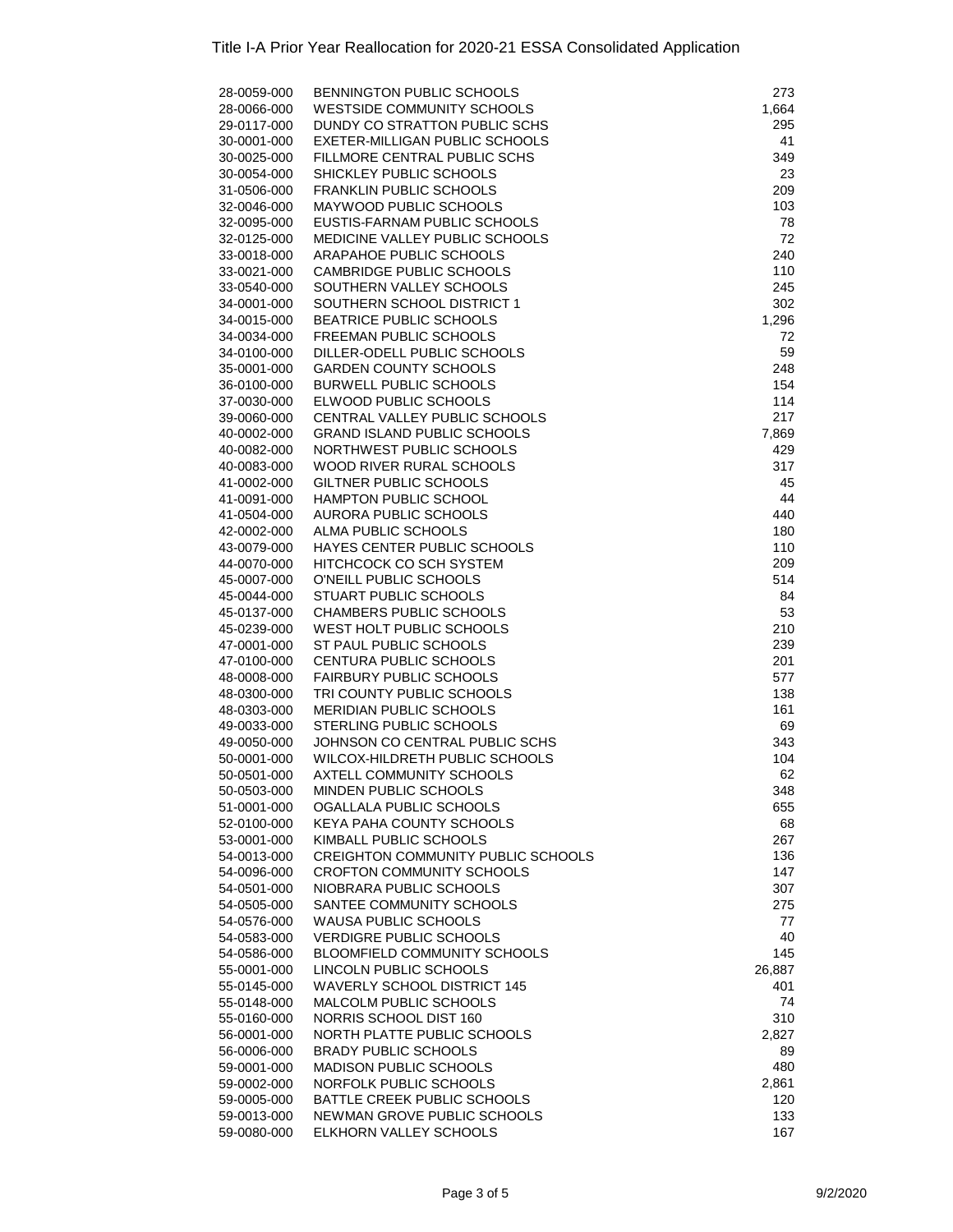| 28-0059-000 | BENNINGTON PUBLIC SCHOOLS                 | 273    |
|-------------|-------------------------------------------|--------|
| 28-0066-000 | <b>WESTSIDE COMMUNITY SCHOOLS</b>         | 1,664  |
|             |                                           |        |
| 29-0117-000 | DUNDY CO STRATTON PUBLIC SCHS             | 295    |
| 30-0001-000 | EXETER-MILLIGAN PUBLIC SCHOOLS            | 41     |
| 30-0025-000 | FILLMORE CENTRAL PUBLIC SCHS              | 349    |
| 30-0054-000 | SHICKLEY PUBLIC SCHOOLS                   | 23     |
| 31-0506-000 | <b>FRANKLIN PUBLIC SCHOOLS</b>            | 209    |
|             |                                           |        |
| 32-0046-000 | MAYWOOD PUBLIC SCHOOLS                    | 103    |
| 32-0095-000 | EUSTIS-FARNAM PUBLIC SCHOOLS              | 78     |
| 32-0125-000 | MEDICINE VALLEY PUBLIC SCHOOLS            | 72     |
| 33-0018-000 | ARAPAHOE PUBLIC SCHOOLS                   | 240    |
| 33-0021-000 | CAMBRIDGE PUBLIC SCHOOLS                  | 110    |
|             |                                           |        |
| 33-0540-000 | SOUTHERN VALLEY SCHOOLS                   | 245    |
| 34-0001-000 | SOUTHERN SCHOOL DISTRICT 1                | 302    |
| 34-0015-000 | <b>BEATRICE PUBLIC SCHOOLS</b>            | 1,296  |
| 34-0034-000 | FREEMAN PUBLIC SCHOOLS                    | 72     |
| 34-0100-000 | DILLER-ODELL PUBLIC SCHOOLS               | 59     |
|             |                                           |        |
| 35-0001-000 | <b>GARDEN COUNTY SCHOOLS</b>              | 248    |
| 36-0100-000 | <b>BURWELL PUBLIC SCHOOLS</b>             | 154    |
| 37-0030-000 | ELWOOD PUBLIC SCHOOLS                     | 114    |
| 39-0060-000 | CENTRAL VALLEY PUBLIC SCHOOLS             | 217    |
| 40-0002-000 | <b>GRAND ISLAND PUBLIC SCHOOLS</b>        | 7,869  |
|             |                                           |        |
| 40-0082-000 | NORTHWEST PUBLIC SCHOOLS                  | 429    |
| 40-0083-000 | WOOD RIVER RURAL SCHOOLS                  | 317    |
| 41-0002-000 | GILTNER PUBLIC SCHOOLS                    | 45     |
| 41-0091-000 | HAMPTON PUBLIC SCHOOL                     | 44     |
| 41-0504-000 | <b>AURORA PUBLIC SCHOOLS</b>              | 440    |
| 42-0002-000 | ALMA PUBLIC SCHOOLS                       | 180    |
|             |                                           |        |
| 43-0079-000 | HAYES CENTER PUBLIC SCHOOLS               | 110    |
| 44-0070-000 | HITCHCOCK CO SCH SYSTEM                   | 209    |
| 45-0007-000 | O'NEILL PUBLIC SCHOOLS                    | 514    |
| 45-0044-000 | <b>STUART PUBLIC SCHOOLS</b>              | 84     |
| 45-0137-000 | CHAMBERS PUBLIC SCHOOLS                   | 53     |
| 45-0239-000 | WEST HOLT PUBLIC SCHOOLS                  | 210    |
|             |                                           |        |
| 47-0001-000 | ST PAUL PUBLIC SCHOOLS                    | 239    |
| 47-0100-000 | CENTURA PUBLIC SCHOOLS                    | 201    |
| 48-0008-000 | <b>FAIRBURY PUBLIC SCHOOLS</b>            | 577    |
| 48-0300-000 | TRI COUNTY PUBLIC SCHOOLS                 | 138    |
| 48-0303-000 | <b>MERIDIAN PUBLIC SCHOOLS</b>            | 161    |
| 49-0033-000 | STERLING PUBLIC SCHOOLS                   | 69     |
|             |                                           |        |
| 49-0050-000 | JOHNSON CO CENTRAL PUBLIC SCHS            | 343    |
| 50-0001-000 | WILCOX-HILDRETH PUBLIC SCHOOLS            | 104    |
| 50-0501-000 | <b>AXTELL COMMUNITY SCHOOLS</b>           | 62     |
| 50-0503-000 | MINDEN PUBLIC SCHOOLS                     | 348    |
| 51-0001-000 | OGALLALA PUBLIC SCHOOLS                   | 655    |
|             |                                           |        |
| 52-0100-000 | KEYA PAHA COUNTY SCHOOLS                  | 68     |
| 53-0001-000 | KIMBALL PUBLIC SCHOOLS                    | 267    |
| 54-0013-000 | <b>CREIGHTON COMMUNITY PUBLIC SCHOOLS</b> | 136    |
| 54-0096-000 | <b>CROFTON COMMUNITY SCHOOLS</b>          | 147    |
| 54-0501-000 | NIOBRARA PUBLIC SCHOOLS                   | 307    |
| 54-0505-000 | SANTEE COMMUNITY SCHOOLS                  | 275    |
|             |                                           |        |
| 54-0576-000 | <b>WAUSA PUBLIC SCHOOLS</b>               | 77     |
| 54-0583-000 | <b>VERDIGRE PUBLIC SCHOOLS</b>            | 40     |
| 54-0586-000 | <b>BLOOMFIELD COMMUNITY SCHOOLS</b>       | 145    |
| 55-0001-000 | LINCOLN PUBLIC SCHOOLS                    | 26,887 |
| 55-0145-000 | <b>WAVERLY SCHOOL DISTRICT 145</b>        | 401    |
| 55-0148-000 | <b>MALCOLM PUBLIC SCHOOLS</b>             | 74     |
|             |                                           |        |
| 55-0160-000 | NORRIS SCHOOL DIST 160                    | 310    |
| 56-0001-000 | NORTH PLATTE PUBLIC SCHOOLS               | 2,827  |
| 56-0006-000 | <b>BRADY PUBLIC SCHOOLS</b>               | 89     |
| 59-0001-000 | <b>MADISON PUBLIC SCHOOLS</b>             | 480    |
| 59-0002-000 | NORFOLK PUBLIC SCHOOLS                    | 2,861  |
| 59-0005-000 | BATTLE CREEK PUBLIC SCHOOLS               | 120    |
| 59-0013-000 | NEWMAN GROVE PUBLIC SCHOOLS               | 133    |
| 59-0080-000 | ELKHORN VALLEY SCHOOLS                    | 167    |
|             |                                           |        |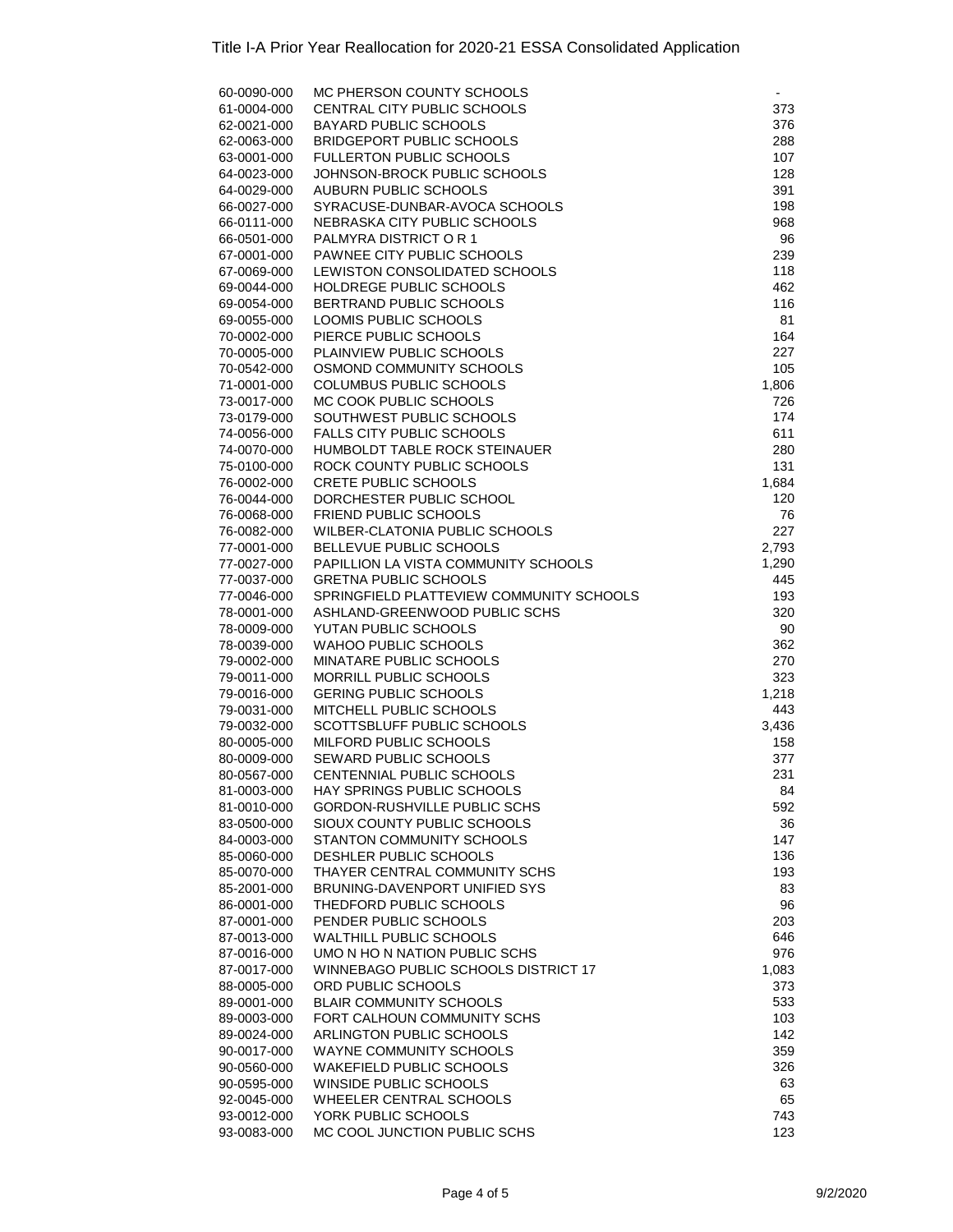| 60-0090-000                | MC PHERSON COUNTY SCHOOLS                         |            |
|----------------------------|---------------------------------------------------|------------|
| 61-0004-000                | CENTRAL CITY PUBLIC SCHOOLS                       | 373        |
| 62-0021-000                | <b>BAYARD PUBLIC SCHOOLS</b>                      | 376        |
| 62-0063-000                | <b>BRIDGEPORT PUBLIC SCHOOLS</b>                  | 288        |
| 63-0001-000                | FULLERTON PUBLIC SCHOOLS                          | 107        |
| 64-0023-000                | JOHNSON-BROCK PUBLIC SCHOOLS                      | 128        |
| 64-0029-000                | AUBURN PUBLIC SCHOOLS                             | 391        |
| 66-0027-000                | SYRACUSE-DUNBAR-AVOCA SCHOOLS                     | 198        |
| 66-0111-000                | NEBRASKA CITY PUBLIC SCHOOLS                      | 968        |
| 66-0501-000                | PALMYRA DISTRICT OR 1                             | 96         |
| 67-0001-000                | PAWNEE CITY PUBLIC SCHOOLS                        | 239        |
| 67-0069-000                | LEWISTON CONSOLIDATED SCHOOLS                     | 118        |
| 69-0044-000                | HOLDREGE PUBLIC SCHOOLS                           | 462        |
| 69-0054-000                | BERTRAND PUBLIC SCHOOLS                           | 116        |
| 69-0055-000                | LOOMIS PUBLIC SCHOOLS                             | 81         |
| 70-0002-000                | PIERCE PUBLIC SCHOOLS                             | 164        |
| 70-0005-000                | PLAINVIEW PUBLIC SCHOOLS                          | 227        |
| 70-0542-000                | OSMOND COMMUNITY SCHOOLS                          | 105        |
| 71-0001-000                | COLUMBUS PUBLIC SCHOOLS<br>MC COOK PUBLIC SCHOOLS | 1,806      |
| 73-0017-000                | SOUTHWEST PUBLIC SCHOOLS                          | 726<br>174 |
| 73-0179-000                | <b>FALLS CITY PUBLIC SCHOOLS</b>                  | 611        |
| 74-0056-000<br>74-0070-000 | HUMBOLDT TABLE ROCK STEINAUER                     | 280        |
| 75-0100-000                | ROCK COUNTY PUBLIC SCHOOLS                        | 131        |
| 76-0002-000                | <b>CRETE PUBLIC SCHOOLS</b>                       | 1,684      |
| 76-0044-000                | DORCHESTER PUBLIC SCHOOL                          | 120        |
| 76-0068-000                | <b>FRIEND PUBLIC SCHOOLS</b>                      | 76         |
| 76-0082-000                | <b>WILBER-CLATONIA PUBLIC SCHOOLS</b>             | 227        |
| 77-0001-000                | BELLEVUE PUBLIC SCHOOLS                           | 2,793      |
| 77-0027-000                | PAPILLION LA VISTA COMMUNITY SCHOOLS              | 1,290      |
| 77-0037-000                | <b>GRETNA PUBLIC SCHOOLS</b>                      | 445        |
| 77-0046-000                | SPRINGFIELD PLATTEVIEW COMMUNITY SCHOOLS          | 193        |
| 78-0001-000                | ASHLAND-GREENWOOD PUBLIC SCHS                     | 320        |
| 78-0009-000                | YUTAN PUBLIC SCHOOLS                              | 90         |
| 78-0039-000                | <b>WAHOO PUBLIC SCHOOLS</b>                       | 362        |
| 79-0002-000                | MINATARE PUBLIC SCHOOLS                           | 270        |
| 79-0011-000                | MORRILL PUBLIC SCHOOLS                            | 323        |
| 79-0016-000                | <b>GERING PUBLIC SCHOOLS</b>                      | 1,218      |
| 79-0031-000                | MITCHELL PUBLIC SCHOOLS                           | 443        |
| 79-0032-000                | <b>SCOTTSBLUFF PUBLIC SCHOOLS</b>                 | 3,436      |
| 80-0005-000                | MILFORD PUBLIC SCHOOLS                            | 158        |
| 80-0009-000                | SEWARD PUBLIC SCHOOLS                             | 377        |
| 80-0567-000                | CENTENNIAL PUBLIC SCHOOLS                         | 231        |
| 81-0003-000                | HAY SPRINGS PUBLIC SCHOOLS                        | 84         |
| 81-0010-000                | GORDON-RUSHVILLE PUBLIC SCHS                      | 592        |
| 83-0500-000                | SIOUX COUNTY PUBLIC SCHOOLS                       | 36         |
| 84-0003-000                | STANTON COMMUNITY SCHOOLS                         | 147        |
| 85-0060-000                | DESHLER PUBLIC SCHOOLS                            | 136        |
| 85-0070-000                | THAYER CENTRAL COMMUNITY SCHS                     | 193        |
| 85-2001-000                | BRUNING-DAVENPORT UNIFIED SYS                     | 83         |
| 86-0001-000                | THEDFORD PUBLIC SCHOOLS<br>PENDER PUBLIC SCHOOLS  | 96         |
| 87-0001-000<br>87-0013-000 | <b>WALTHILL PUBLIC SCHOOLS</b>                    | 203        |
|                            | UMO N HO N NATION PUBLIC SCHS                     | 646<br>976 |
| 87-0016-000<br>87-0017-000 | WINNEBAGO PUBLIC SCHOOLS DISTRICT 17              | 1,083      |
| 88-0005-000                | ORD PUBLIC SCHOOLS                                | 373        |
| 89-0001-000                | <b>BLAIR COMMUNITY SCHOOLS</b>                    | 533        |
| 89-0003-000                | FORT CALHOUN COMMUNITY SCHS                       | 103        |
| 89-0024-000                | ARLINGTON PUBLIC SCHOOLS                          | 142        |
| 90-0017-000                | WAYNE COMMUNITY SCHOOLS                           | 359        |
| 90-0560-000                | <b>WAKEFIELD PUBLIC SCHOOLS</b>                   | 326        |
| 90-0595-000                | WINSIDE PUBLIC SCHOOLS                            | 63         |
| 92-0045-000                | WHEELER CENTRAL SCHOOLS                           | 65         |
| 93-0012-000                | YORK PUBLIC SCHOOLS                               | 743        |
| 93-0083-000                | MC COOL JUNCTION PUBLIC SCHS                      | 123        |